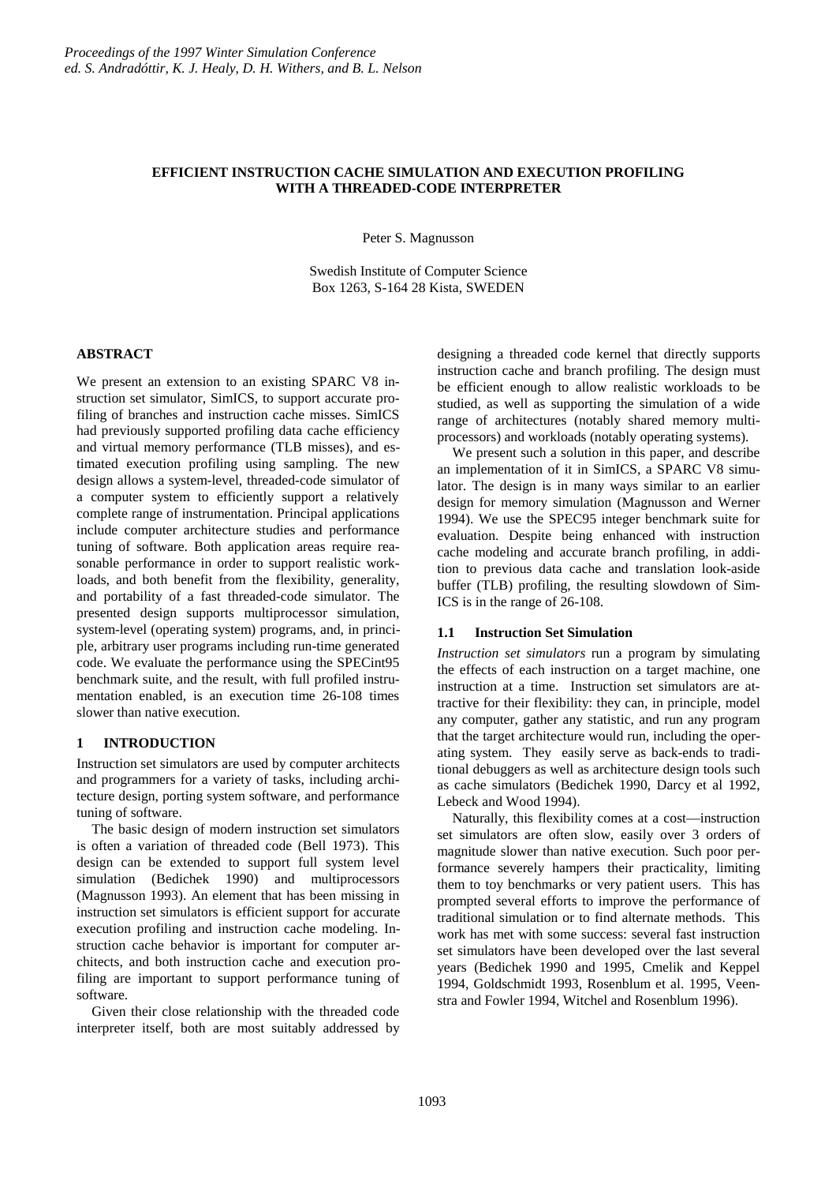## **EFFICIENT INSTRUCTION CACHE SIMULATION AND EXECUTION PROFILING WITH A THREADED-CODE INTERPRETER**

Peter S. Magnusson

Swedish Institute of Computer Science Box 1263, S-164 28 Kista, SWEDEN

## **ABSTRACT**

We present an extension to an existing SPARC V8 instruction set simulator, SimICS, to support accurate profiling of branches and instruction cache misses. SimICS had previously supported profiling data cache efficiency and virtual memory performance (TLB misses), and estimated execution profiling using sampling. The new design allows a system-level, threaded-code simulator of a computer system to efficiently support a relatively complete range of instrumentation. Principal applications include computer architecture studies and performance tuning of software. Both application areas require reasonable performance in order to support realistic workloads, and both benefit from the flexibility, generality, and portability of a fast threaded-code simulator. The presented design supports multiprocessor simulation, system-level (operating system) programs, and, in principle, arbitrary user programs including run-time generated code. We evaluate the performance using the SPECint95 benchmark suite, and the result, with full profiled instrumentation enabled, is an execution time 26-108 times slower than native execution.

## **1 INTRODUCTION**

Instruction set simulators are used by computer architects and programmers for a variety of tasks, including architecture design, porting system software, and performance tuning of software.

The basic design of modern instruction set simulators is often a variation of threaded code (Bell 1973). This design can be extended to support full system level simulation (Bedichek 1990) and multiprocessors (Magnusson 1993). An element that has been missing in instruction set simulators is efficient support for accurate execution profiling and instruction cache modeling. Instruction cache behavior is important for computer architects, and both instruction cache and execution profiling are important to support performance tuning of software.

Given their close relationship with the threaded code interpreter itself, both are most suitably addressed by designing a threaded code kernel that directly supports instruction cache and branch profiling. The design must be efficient enough to allow realistic workloads to be studied, as well as supporting the simulation of a wide range of architectures (notably shared memory multiprocessors) and workloads (notably operating systems).

We present such a solution in this paper, and describe an implementation of it in SimICS, a SPARC V8 simulator. The design is in many ways similar to an earlier design for memory simulation (Magnusson and Werner 1994). We use the SPEC95 integer benchmark suite for evaluation. Despite being enhanced with instruction cache modeling and accurate branch profiling, in addition to previous data cache and translation look-aside buffer (TLB) profiling, the resulting slowdown of Sim-ICS is in the range of 26-108.

### **1.1 Instruction Set Simulation**

*Instruction set simulators* run a program by simulating the effects of each instruction on a target machine, one instruction at a time. Instruction set simulators are attractive for their flexibility: they can, in principle, model any computer, gather any statistic, and run any program that the target architecture would run, including the operating system. They easily serve as back-ends to traditional debuggers as well as architecture design tools such as cache simulators (Bedichek 1990, Darcy et al 1992, Lebeck and Wood 1994).

Naturally, this flexibility comes at a cost—instruction set simulators are often slow, easily over 3 orders of magnitude slower than native execution. Such poor performance severely hampers their practicality, limiting them to toy benchmarks or very patient users. This has prompted several efforts to improve the performance of traditional simulation or to find alternate methods. This work has met with some success: several fast instruction set simulators have been developed over the last several years (Bedichek 1990 and 1995, Cmelik and Keppel 1994, Goldschmidt 1993, Rosenblum et al. 1995, Veenstra and Fowler 1994, Witchel and Rosenblum 1996).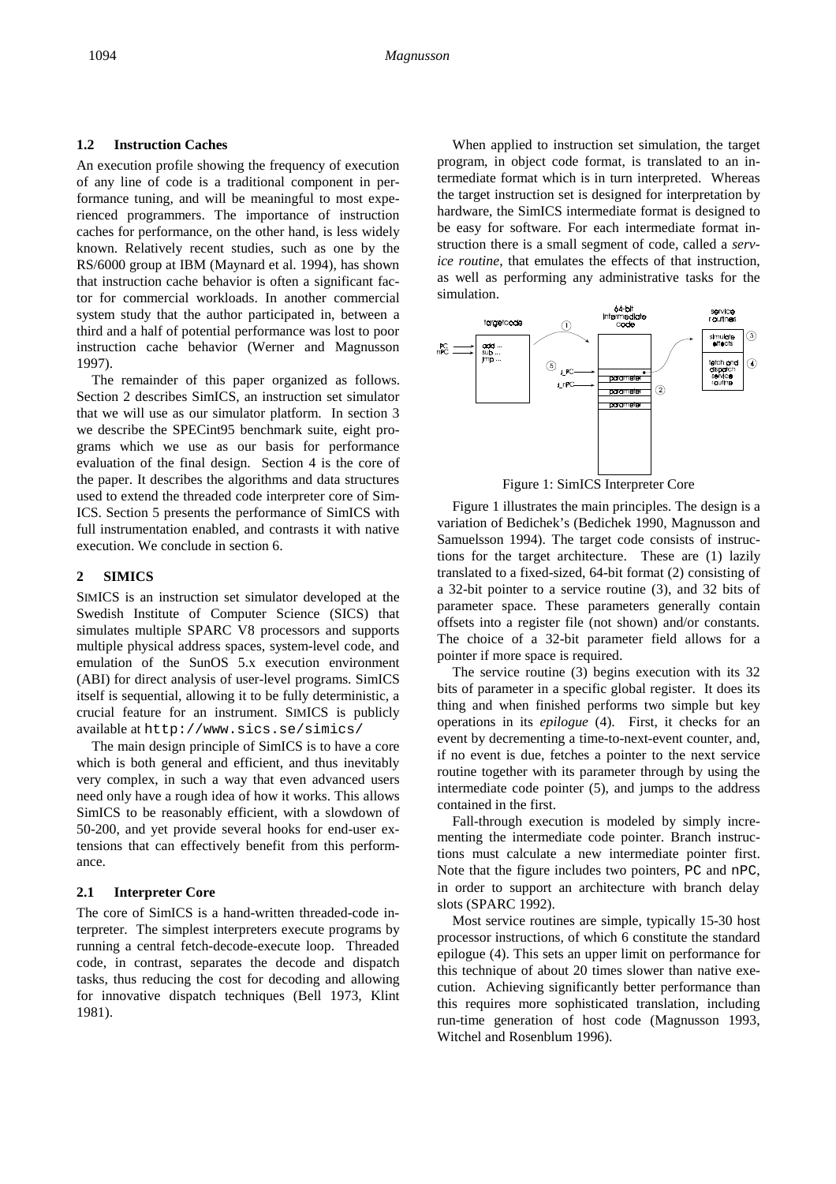### **1.2 Instruction Caches**

An execution profile showing the frequency of execution of any line of code is a traditional component in performance tuning, and will be meaningful to most experienced programmers. The importance of instruction caches for performance, on the other hand, is less widely known. Relatively recent studies, such as one by the RS/6000 group at IBM (Maynard et al. 1994), has shown that instruction cache behavior is often a significant factor for commercial workloads. In another commercial system study that the author participated in, between a third and a half of potential performance was lost to poor instruction cache behavior (Werner and Magnusson 1997).

The remainder of this paper organized as follows. Section 2 describes SimICS, an instruction set simulator that we will use as our simulator platform. In section 3 we describe the SPECint95 benchmark suite, eight programs which we use as our basis for performance evaluation of the final design. Section 4 is the core of the paper. It describes the algorithms and data structures used to extend the threaded code interpreter core of Sim-ICS. Section 5 presents the performance of SimICS with full instrumentation enabled, and contrasts it with native execution. We conclude in section 6.

## **2 SIMICS**

SIMICS is an instruction set simulator developed at the Swedish Institute of Computer Science (SICS) that simulates multiple SPARC V8 processors and supports multiple physical address spaces, system-level code, and emulation of the SunOS 5.x execution environment (ABI) for direct analysis of user-level programs. SimICS itself is sequential, allowing it to be fully deterministic, a crucial feature for an instrument. SIMICS is publicly available at http://www.sics.se/simics/

The main design principle of SimICS is to have a core which is both general and efficient, and thus inevitably very complex, in such a way that even advanced users need only have a rough idea of how it works. This allows SimICS to be reasonably efficient, with a slowdown of 50-200, and yet provide several hooks for end-user extensions that can effectively benefit from this performance.

### **2.1 Interpreter Core**

The core of SimICS is a hand-written threaded-code interpreter. The simplest interpreters execute programs by running a central fetch-decode-execute loop. Threaded code, in contrast, separates the decode and dispatch tasks, thus reducing the cost for decoding and allowing for innovative dispatch techniques (Bell 1973, Klint 1981).

When applied to instruction set simulation, the target program, in object code format, is translated to an intermediate format which is in turn interpreted. Whereas the target instruction set is designed for interpretation by hardware, the SimICS intermediate format is designed to be easy for software. For each intermediate format instruction there is a small segment of code, called a *service routine*, that emulates the effects of that instruction, as well as performing any administrative tasks for the simulation.



Figure 1: SimICS Interpreter Core

Figure 1 illustrates the main principles. The design is a variation of Bedichek's (Bedichek 1990, Magnusson and Samuelsson 1994). The target code consists of instructions for the target architecture. These are (1) lazily translated to a fixed-sized, 64-bit format (2) consisting of a 32-bit pointer to a service routine (3), and 32 bits of parameter space. These parameters generally contain offsets into a register file (not shown) and/or constants. The choice of a 32-bit parameter field allows for a pointer if more space is required.

The service routine (3) begins execution with its 32 bits of parameter in a specific global register. It does its thing and when finished performs two simple but key operations in its *epilogue* (4). First, it checks for an event by decrementing a time-to-next-event counter, and, if no event is due, fetches a pointer to the next service routine together with its parameter through by using the intermediate code pointer (5), and jumps to the address contained in the first.

Fall-through execution is modeled by simply incrementing the intermediate code pointer. Branch instructions must calculate a new intermediate pointer first. Note that the figure includes two pointers, PC and nPC, in order to support an architecture with branch delay slots (SPARC 1992).

Most service routines are simple, typically 15-30 host processor instructions, of which 6 constitute the standard epilogue (4). This sets an upper limit on performance for this technique of about 20 times slower than native execution. Achieving significantly better performance than this requires more sophisticated translation, including run-time generation of host code (Magnusson 1993, Witchel and Rosenblum 1996).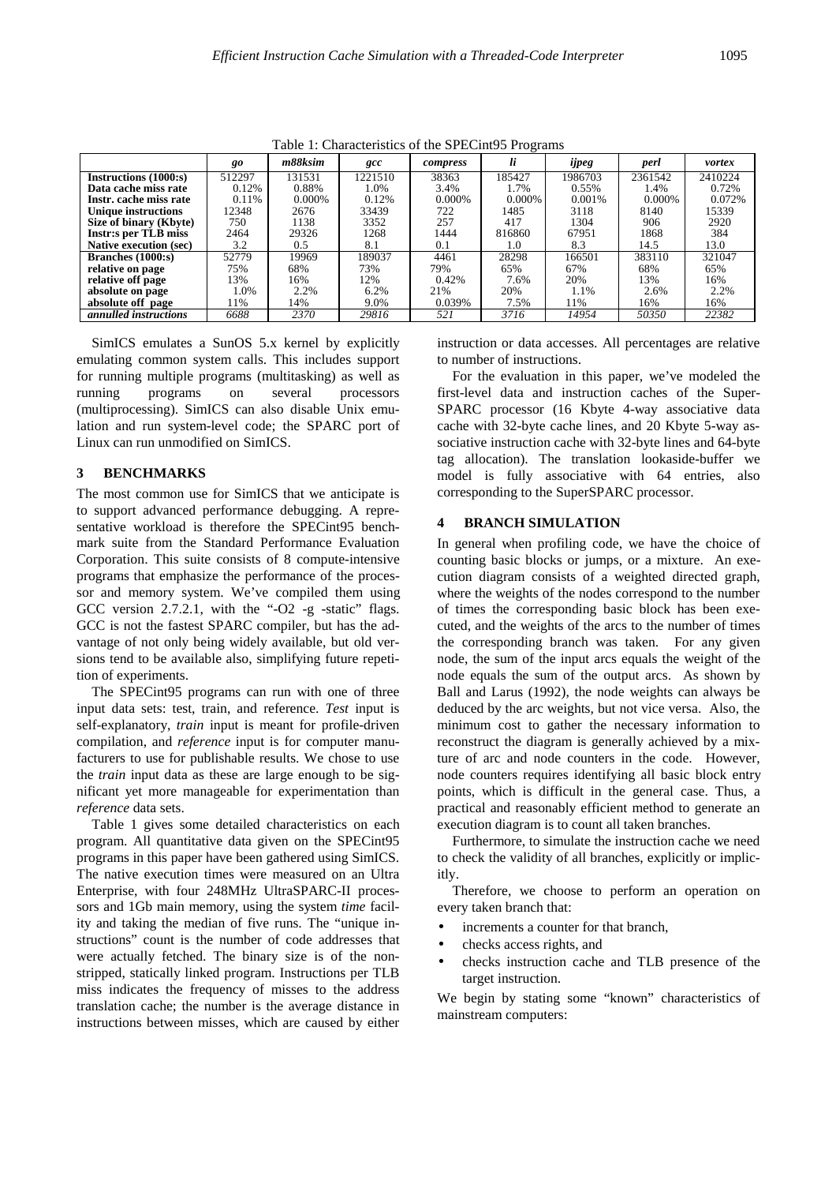|                               | o      |           |         |           |        |         |         |         |  |
|-------------------------------|--------|-----------|---------|-----------|--------|---------|---------|---------|--|
|                               | go     | m88ksim   | gcc     | compress  | li     | ijpeg   | perl    | vortex  |  |
| <b>Instructions</b> (1000:s)  | 512297 | 131531    | 1221510 | 38363     | 185427 | 1986703 | 2361542 | 2410224 |  |
| Data cache miss rate          | 0.12%  | 0.88%     | 1.0%    | 3.4%      | 1.7%   | 0.55%   | 1.4%    | 0.72%   |  |
| Instr. cache miss rate        | 0.11%  | $0.000\%$ | 0.12%   | $0.000\%$ | 0.000% | 0.001\% | 0.000\% | 0.072%  |  |
| <b>Unique instructions</b>    | 12348  | 2676      | 33439   | 722       | 1485   | 3118    | 8140    | 15339   |  |
| Size of binary (Kbyte)        | 750    | 1138      | 3352    | 257       | 417    | 1304    | 906     | 2920    |  |
| <b>Instr:s per TLB miss</b>   | 2464   | 29326     | 1268    | 1444      | 816860 | 67951   | 1868    | 384     |  |
| <b>Native execution (sec)</b> | 3.2    | 0.5       | 8.1     | 0.1       | 1.0    | 8.3     | 14.5    | 13.0    |  |
| <b>Branches</b> (1000:s)      | 52779  | 19969     | 189037  | 4461      | 28298  | 166501  | 383110  | 321047  |  |
| relative on page              | 75%    | 68%       | 73%     | 79%       | 65%    | 67%     | 68%     | 65%     |  |
| relative off page             | 13%    | 16%       | 12%     | 0.42%     | 7.6%   | 20%     | 13%     | 16%     |  |
| absolute on page              | 1.0%   | 2.2%      | 6.2%    | 21%       | 20%    | 1.1%    | 2.6%    | 2.2%    |  |
| absolute off page             | 11%    | 14%       | 9.0%    | 0.039%    | 7.5%   | 11%     | 16%     | 16%     |  |
| <i>annulled instructions</i>  | 6688   | 2370      | 29816   | 521       | 3716   | 14954   | 50350   | 22382   |  |

Table 1: Characteristics of the SPECint95 Programs

SimICS emulates a SunOS 5.x kernel by explicitly emulating common system calls. This includes support for running multiple programs (multitasking) as well as running programs on several processors (multiprocessing). SimICS can also disable Unix emulation and run system-level code; the SPARC port of Linux can run unmodified on SimICS.

### **3 BENCHMARKS**

The most common use for SimICS that we anticipate is to support advanced performance debugging. A representative workload is therefore the SPECint95 benchmark suite from the Standard Performance Evaluation Corporation. This suite consists of 8 compute-intensive programs that emphasize the performance of the processor and memory system. We've compiled them using GCC version 2.7.2.1, with the "-O2 -g -static" flags. GCC is not the fastest SPARC compiler, but has the advantage of not only being widely available, but old versions tend to be available also, simplifying future repetition of experiments.

The SPECint95 programs can run with one of three input data sets: test, train, and reference. *Test* input is self-explanatory, *train* input is meant for profile-driven compilation, and *reference* input is for computer manufacturers to use for publishable results. We chose to use the *train* input data as these are large enough to be significant yet more manageable for experimentation than *reference* data sets.

Table 1 gives some detailed characteristics on each program. All quantitative data given on the SPECint95 programs in this paper have been gathered using SimICS. The native execution times were measured on an Ultra Enterprise, with four 248MHz UltraSPARC-II processors and 1Gb main memory, using the system *time* facility and taking the median of five runs. The "unique instructions" count is the number of code addresses that were actually fetched. The binary size is of the nonstripped, statically linked program. Instructions per TLB miss indicates the frequency of misses to the address translation cache; the number is the average distance in instructions between misses, which are caused by either instruction or data accesses. All percentages are relative to number of instructions.

For the evaluation in this paper, we've modeled the first-level data and instruction caches of the Super-SPARC processor (16 Kbyte 4-way associative data cache with 32-byte cache lines, and 20 Kbyte 5-way associative instruction cache with 32-byte lines and 64-byte tag allocation). The translation lookaside-buffer we model is fully associative with 64 entries, also corresponding to the SuperSPARC processor.

#### **4 BRANCH SIMULATION**

In general when profiling code, we have the choice of counting basic blocks or jumps, or a mixture. An execution diagram consists of a weighted directed graph, where the weights of the nodes correspond to the number of times the corresponding basic block has been executed, and the weights of the arcs to the number of times the corresponding branch was taken. For any given node, the sum of the input arcs equals the weight of the node equals the sum of the output arcs. As shown by Ball and Larus (1992), the node weights can always be deduced by the arc weights, but not vice versa. Also, the minimum cost to gather the necessary information to reconstruct the diagram is generally achieved by a mixture of arc and node counters in the code. However, node counters requires identifying all basic block entry points, which is difficult in the general case. Thus, a practical and reasonably efficient method to generate an execution diagram is to count all taken branches.

Furthermore, to simulate the instruction cache we need to check the validity of all branches, explicitly or implicitly.

Therefore, we choose to perform an operation on every taken branch that:

- increments a counter for that branch,
- checks access rights, and
- checks instruction cache and TLB presence of the target instruction.

We begin by stating some "known" characteristics of mainstream computers: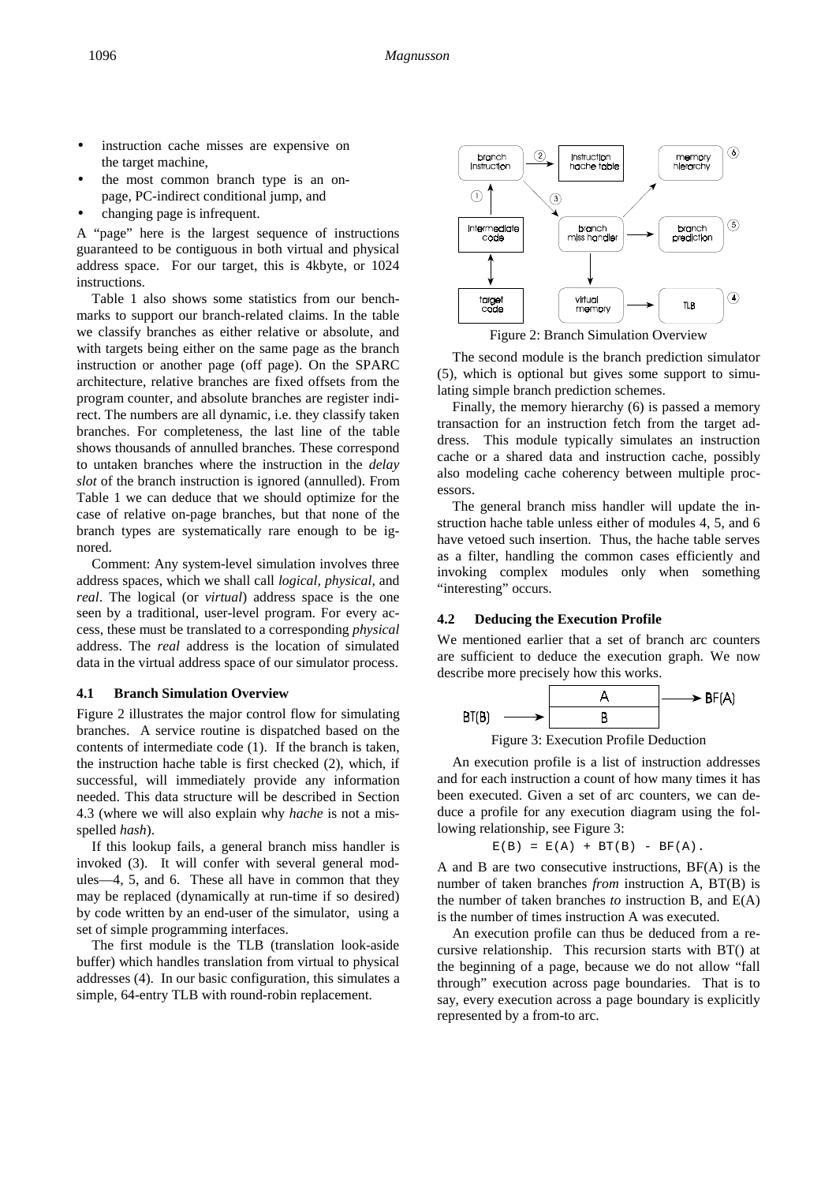- instruction cache misses are expensive on the target machine,
- the most common branch type is an onpage, PC-indirect conditional jump, and
- changing page is infrequent.

A "page" here is the largest sequence of instructions guaranteed to be contiguous in both virtual and physical address space. For our target, this is 4kbyte, or 1024 instructions.

Table 1 also shows some statistics from our benchmarks to support our branch-related claims. In the table we classify branches as either relative or absolute, and with targets being either on the same page as the branch instruction or another page (off page). On the SPARC architecture, relative branches are fixed offsets from the program counter, and absolute branches are register indirect. The numbers are all dynamic, i.e. they classify taken branches. For completeness, the last line of the table shows thousands of annulled branches. These correspond to untaken branches where the instruction in the *delay slot* of the branch instruction is ignored (annulled). From Table 1 we can deduce that we should optimize for the case of relative on-page branches, but that none of the branch types are systematically rare enough to be ignored.

Comment: Any system-level simulation involves three address spaces, which we shall call *logical, physical,* and *real*. The logical (or *virtual*) address space is the one seen by a traditional, user-level program. For every access, these must be translated to a corresponding *physical* address. The *real* address is the location of simulated data in the virtual address space of our simulator process.

#### **4.1 Branch Simulation Overview**

Figure 2 illustrates the major control flow for simulating branches. A service routine is dispatched based on the contents of intermediate code (1). If the branch is taken, the instruction hache table is first checked (2), which, if successful, will immediately provide any information needed. This data structure will be described in Section 4.3 (where we will also explain why *hache* is not a misspelled *hash*).

If this lookup fails, a general branch miss handler is invoked (3). It will confer with several general modules—4, 5, and 6. These all have in common that they may be replaced (dynamically at run-time if so desired) by code written by an end-user of the simulator, using a set of simple programming interfaces.

The first module is the TLB (translation look-aside buffer) which handles translation from virtual to physical addresses (4). In our basic configuration, this simulates a simple, 64-entry TLB with round-robin replacement.



Figure 2: Branch Simulation Overview

The second module is the branch prediction simulator (5), which is optional but gives some support to simulating simple branch prediction schemes.

Finally, the memory hierarchy (6) is passed a memory transaction for an instruction fetch from the target address. This module typically simulates an instruction cache or a shared data and instruction cache, possibly also modeling cache coherency between multiple processors.

The general branch miss handler will update the instruction hache table unless either of modules 4, 5, and 6 have vetoed such insertion. Thus, the hache table serves as a filter, handling the common cases efficiently and invoking complex modules only when something "interesting" occurs.

#### **4.2 Deducing the Execution Profile**

We mentioned earlier that a set of branch arc counters are sufficient to deduce the execution graph. We now describe more precisely how this works.



Figure 3: Execution Profile Deduction

An execution profile is a list of instruction addresses and for each instruction a count of how many times it has been executed. Given a set of arc counters, we can deduce a profile for any execution diagram using the following relationship, see Figure 3:

$$
E(B) = E(A) + BT(B) - BF(A).
$$

A and B are two consecutive instructions, BF(A) is the number of taken branches *from* instruction A, BT(B) is the number of taken branches *to* instruction B, and E(A) is the number of times instruction A was executed.

An execution profile can thus be deduced from a recursive relationship. This recursion starts with BT() at the beginning of a page, because we do not allow "fall through" execution across page boundaries. That is to say, every execution across a page boundary is explicitly represented by a from-to arc.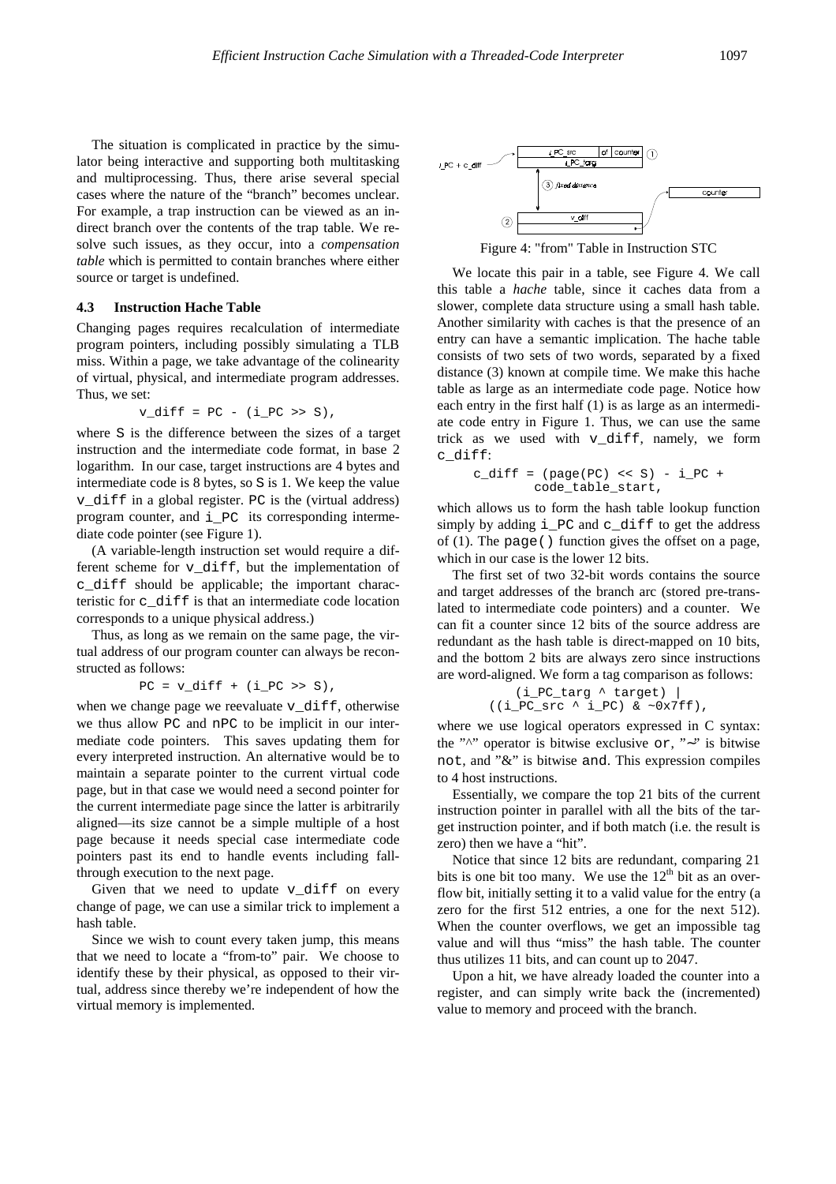The situation is complicated in practice by the simulator being interactive and supporting both multitasking and multiprocessing. Thus, there arise several special cases where the nature of the "branch" becomes unclear. For example, a trap instruction can be viewed as an indirect branch over the contents of the trap table. We resolve such issues, as they occur, into a *compensation table* which is permitted to contain branches where either source or target is undefined.

#### **4.3 Instruction Hache Table**

Changing pages requires recalculation of intermediate program pointers, including possibly simulating a TLB miss. Within a page, we take advantage of the colinearity of virtual, physical, and intermediate program addresses. Thus, we set:

$$
v\_diff = PC - (i_PC >> S),
$$

where S is the difference between the sizes of a target instruction and the intermediate code format, in base 2 logarithm. In our case, target instructions are 4 bytes and intermediate code is 8 bytes, so S is 1. We keep the value v\_diff in a global register. PC is the (virtual address) program counter, and i\_PC its corresponding intermediate code pointer (see Figure 1).

(A variable-length instruction set would require a different scheme for v\_diff, but the implementation of c\_diff should be applicable; the important characteristic for c\_diff is that an intermediate code location corresponds to a unique physical address.)

Thus, as long as we remain on the same page, the virtual address of our program counter can always be reconstructed as follows:

 $PC = v\_diff + (i_PC >> S),$ 

when we change page we reevaluate  $v$  diff, otherwise we thus allow PC and nPC to be implicit in our intermediate code pointers. This saves updating them for every interpreted instruction. An alternative would be to maintain a separate pointer to the current virtual code page, but in that case we would need a second pointer for the current intermediate page since the latter is arbitrarily aligned—its size cannot be a simple multiple of a host page because it needs special case intermediate code pointers past its end to handle events including fallthrough execution to the next page.

Given that we need to update v\_diff on every change of page, we can use a similar trick to implement a hash table.

Since we wish to count every taken jump, this means that we need to locate a "from-to" pair. We choose to identify these by their physical, as opposed to their virtual, address since thereby we're independent of how the virtual memory is implemented.





We locate this pair in a table, see Figure 4. We call this table a *hache* table, since it caches data from a slower, complete data structure using a small hash table. Another similarity with caches is that the presence of an entry can have a semantic implication. The hache table consists of two sets of two words, separated by a fixed distance (3) known at compile time. We make this hache table as large as an intermediate code page. Notice how each entry in the first half (1) is as large as an intermediate code entry in Figure 1. Thus, we can use the same trick as we used with  $v$  diff, namely, we form c\_diff:

```
c diff = (\text{page}(PC) \ll S) - i PC +
         code_table_start,
```
which allows us to form the hash table lookup function simply by adding  $i_PC$  and  $c_d$  iff to get the address of (1). The page() function gives the offset on a page, which in our case is the lower 12 bits.

The first set of two 32-bit words contains the source and target addresses of the branch arc (stored pre-translated to intermediate code pointers) and a counter. We can fit a counter since 12 bits of the source address are redundant as the hash table is direct-mapped on 10 bits, and the bottom 2 bits are always zero since instructions are word-aligned. We form a tag comparison as follows:

$$
(i_PC_{\text{arg}} \land \text{target})
$$
  
 $((i_PC_{\text{src}} \land i_PC) \& \sim 0x7ff),$ 

where we use logical operators expressed in C syntax: the "^" operator is bitwise exclusive or, "∼" is bitwise not, and "&" is bitwise and. This expression compiles to 4 host instructions.

Essentially, we compare the top 21 bits of the current instruction pointer in parallel with all the bits of the target instruction pointer, and if both match (i.e. the result is zero) then we have a "hit".

Notice that since 12 bits are redundant, comparing 21 bits is one bit too many. We use the  $12<sup>th</sup>$  bit as an overflow bit, initially setting it to a valid value for the entry (a zero for the first 512 entries, a one for the next 512). When the counter overflows, we get an impossible tag value and will thus "miss" the hash table. The counter thus utilizes 11 bits, and can count up to 2047.

Upon a hit, we have already loaded the counter into a register, and can simply write back the (incremented) value to memory and proceed with the branch.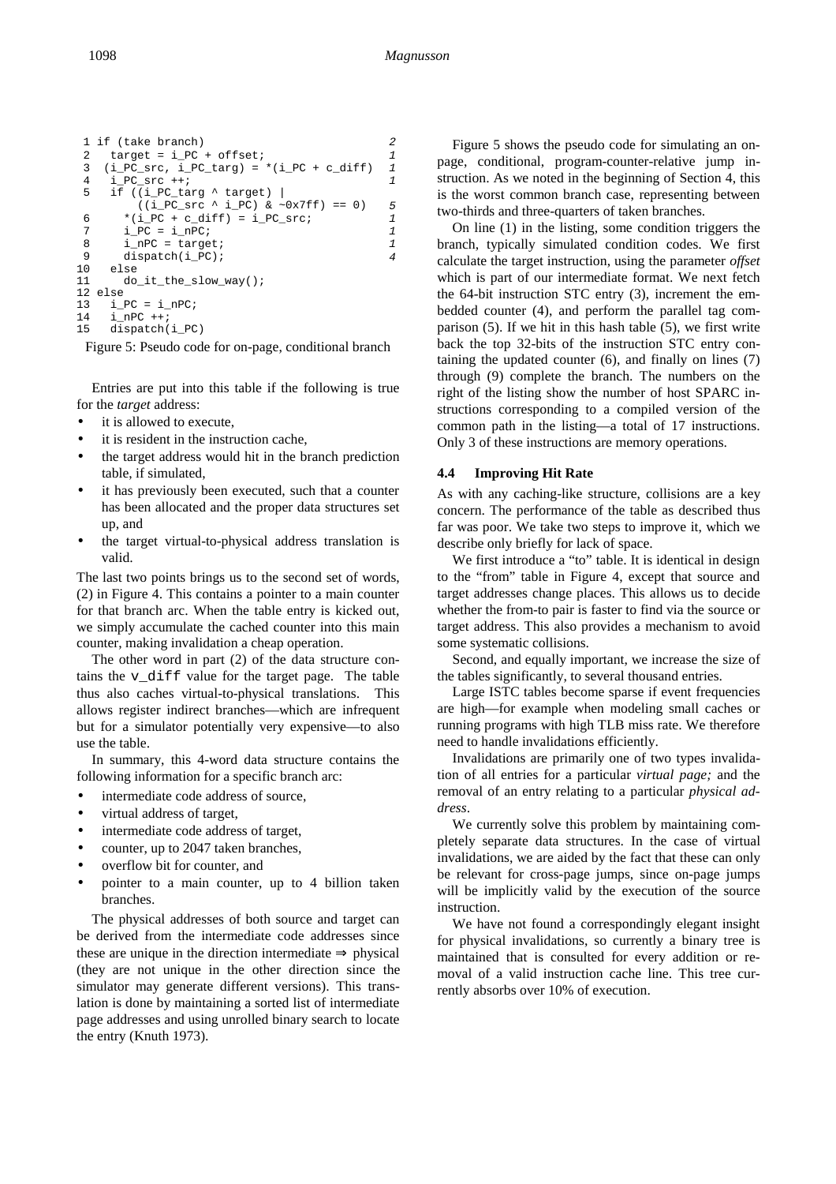```
 1 if (take branch) 2
 2 target = i_PC + offset; 1
 3 (i_PC_src, i_PC_targ) = *(i_PC + c_diff) 1<br>4 i PC src ++;
 \frac{i}{5} i_PC_src ++;<br>5 if ((i PC ta
     if (i_Pc_{\text{target}} \land target) |
         ((i_PC\_src \land i_PC) < \sim 0x7ff) == 0) 5
 6 *(i_PC + c_diff) = i_PC_src; 1
 7 i_PC = i_nPC;<br>8 i nPC = target; 1 1
 \frac{1}{2} i_nPC = target; 1<br>9 dispatch(i PC); 4
9 dispatch(i_PC);<br>10 else
10 else<br>11 do
       do_it_the_slow_way();
12 else
13 i_Pc = i_Pc;
14 i_nPC ++;<br>15 dispatch(
     dispatch(i_PC)
```
Figure 5: Pseudo code for on-page, conditional branch

Entries are put into this table if the following is true for the *target* address:

- it is allowed to execute,
- it is resident in the instruction cache,
- the target address would hit in the branch prediction table, if simulated,
- it has previously been executed, such that a counter has been allocated and the proper data structures set up, and
- the target virtual-to-physical address translation is valid.

The last two points brings us to the second set of words, (2) in Figure 4. This contains a pointer to a main counter for that branch arc. When the table entry is kicked out, we simply accumulate the cached counter into this main counter, making invalidation a cheap operation.

The other word in part (2) of the data structure contains the v\_diff value for the target page. The table thus also caches virtual-to-physical translations. This allows register indirect branches—which are infrequent but for a simulator potentially very expensive—to also use the table.

In summary, this 4-word data structure contains the following information for a specific branch arc:

- intermediate code address of source,
- virtual address of target,
- intermediate code address of target,
- counter, up to 2047 taken branches,
- overflow bit for counter, and
- pointer to a main counter, up to 4 billion taken branches.

The physical addresses of both source and target can be derived from the intermediate code addresses since these are unique in the direction intermediate  $\Rightarrow$  physical (they are not unique in the other direction since the simulator may generate different versions). This translation is done by maintaining a sorted list of intermediate page addresses and using unrolled binary search to locate the entry (Knuth 1973).

Figure 5 shows the pseudo code for simulating an onpage, conditional, program-counter-relative jump instruction. As we noted in the beginning of Section 4, this is the worst common branch case, representing between two-thirds and three-quarters of taken branches.

On line (1) in the listing, some condition triggers the branch, typically simulated condition codes. We first calculate the target instruction, using the parameter *offset* which is part of our intermediate format. We next fetch the 64-bit instruction STC entry (3), increment the embedded counter (4), and perform the parallel tag comparison (5). If we hit in this hash table (5), we first write back the top 32-bits of the instruction STC entry containing the updated counter (6), and finally on lines (7) through (9) complete the branch. The numbers on the right of the listing show the number of host SPARC instructions corresponding to a compiled version of the common path in the listing—a total of 17 instructions. Only 3 of these instructions are memory operations.

# **4.4 Improving Hit Rate**

As with any caching-like structure, collisions are a key concern. The performance of the table as described thus far was poor. We take two steps to improve it, which we describe only briefly for lack of space.

We first introduce a "to" table. It is identical in design to the "from" table in Figure 4, except that source and target addresses change places. This allows us to decide whether the from-to pair is faster to find via the source or target address. This also provides a mechanism to avoid some systematic collisions.

Second, and equally important, we increase the size of the tables significantly, to several thousand entries.

Large ISTC tables become sparse if event frequencies are high—for example when modeling small caches or running programs with high TLB miss rate. We therefore need to handle invalidations efficiently.

Invalidations are primarily one of two types invalidation of all entries for a particular *virtual page;* and the removal of an entry relating to a particular *physical address*.

We currently solve this problem by maintaining completely separate data structures. In the case of virtual invalidations, we are aided by the fact that these can only be relevant for cross-page jumps, since on-page jumps will be implicitly valid by the execution of the source instruction.

We have not found a correspondingly elegant insight for physical invalidations, so currently a binary tree is maintained that is consulted for every addition or removal of a valid instruction cache line. This tree currently absorbs over 10% of execution.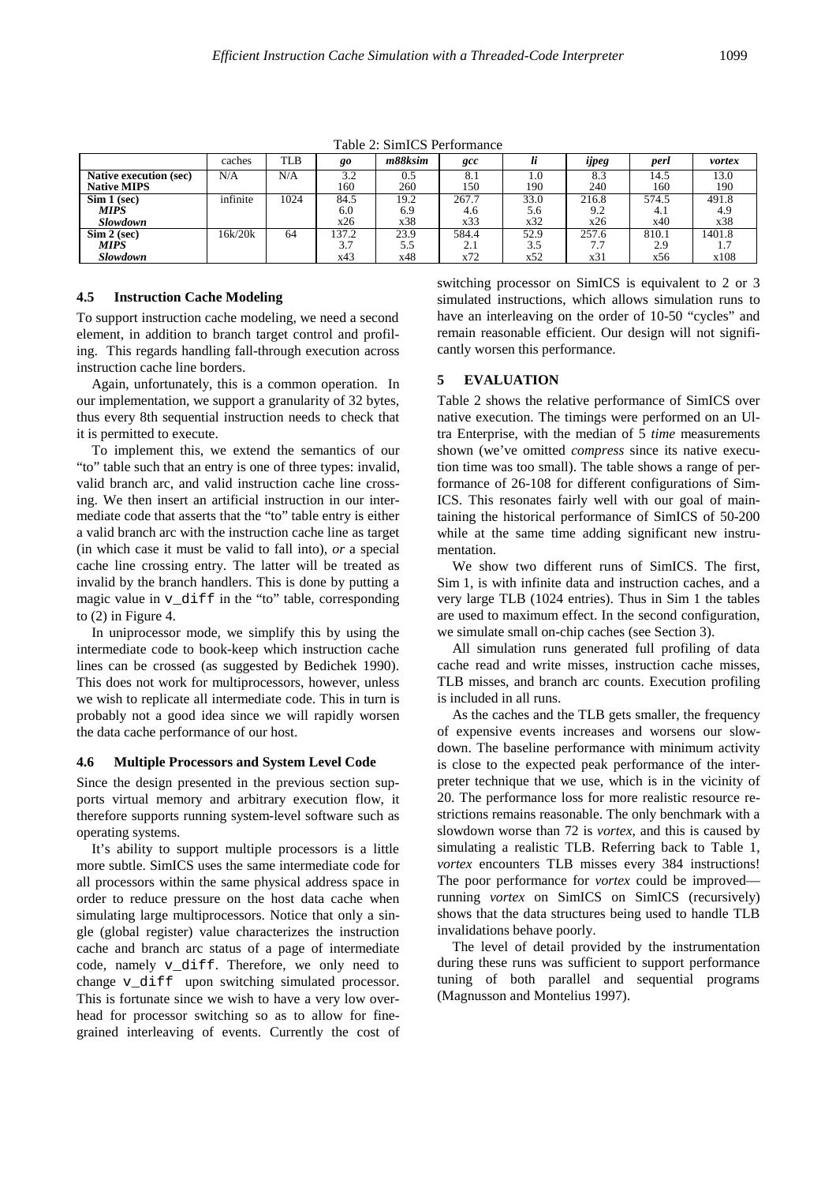|                               | caches   | TLB  | go    | m88ksim | gcc   |      | $\cdot\cdot$<br>ijpeg | perl  | vortex |  |  |  |
|-------------------------------|----------|------|-------|---------|-------|------|-----------------------|-------|--------|--|--|--|
| <b>Native execution (sec)</b> | N/A      | N/A  | 3.2   | 0.5     | 8.1   | 1.0  | 8.3                   | 14.5  | 13.0   |  |  |  |
| <b>Native MIPS</b>            |          |      | 160   | 260     | 150   | 190  | 240                   | 160   | 190    |  |  |  |
| Sim 1 (sec)                   | infinite | 1024 | 84.5  | 19.2    | 267.7 | 33.0 | 216.8                 | 574.5 | 491.8  |  |  |  |
| <b>MIPS</b>                   |          |      | 6.0   | 6.9     | 4.6   | 5.6  | 9.2                   | 4.1   | 4.9    |  |  |  |
| <b>Slowdown</b>               |          |      | x26   | x38     | x33   | x32  | x26                   | x40   | x38    |  |  |  |
| Sim 2 (sec)                   | 16k/20k  | 64   | 137.2 | 23.9    | 584.4 | 52.9 | 257.6                 | 810.1 | 1401.8 |  |  |  |
| <b>MIPS</b>                   |          |      | 3.7   | 5.5     | 2.1   | 3.5  | 7.7                   | 2.9   |        |  |  |  |
| Slowdown                      |          |      | x43   | x48     | x72   | x52  | x31                   | x56   | x108   |  |  |  |

Table 2: SimICS Performance

#### **4.5 Instruction Cache Modeling**

To support instruction cache modeling, we need a second element, in addition to branch target control and profiling. This regards handling fall-through execution across instruction cache line borders.

Again, unfortunately, this is a common operation. In our implementation, we support a granularity of 32 bytes, thus every 8th sequential instruction needs to check that it is permitted to execute.

To implement this, we extend the semantics of our "to" table such that an entry is one of three types: invalid, valid branch arc, and valid instruction cache line crossing. We then insert an artificial instruction in our intermediate code that asserts that the "to" table entry is either a valid branch arc with the instruction cache line as target (in which case it must be valid to fall into), *or* a special cache line crossing entry. The latter will be treated as invalid by the branch handlers. This is done by putting a magic value in v\_diff in the "to" table, corresponding to (2) in Figure 4.

In uniprocessor mode, we simplify this by using the intermediate code to book-keep which instruction cache lines can be crossed (as suggested by Bedichek 1990). This does not work for multiprocessors, however, unless we wish to replicate all intermediate code. This in turn is probably not a good idea since we will rapidly worsen the data cache performance of our host.

### **4.6 Multiple Processors and System Level Code**

Since the design presented in the previous section supports virtual memory and arbitrary execution flow, it therefore supports running system-level software such as operating systems.

It's ability to support multiple processors is a little more subtle. SimICS uses the same intermediate code for all processors within the same physical address space in order to reduce pressure on the host data cache when simulating large multiprocessors. Notice that only a single (global register) value characterizes the instruction cache and branch arc status of a page of intermediate code, namely v\_diff. Therefore, we only need to change v diff upon switching simulated processor. This is fortunate since we wish to have a very low overhead for processor switching so as to allow for finegrained interleaving of events. Currently the cost of

switching processor on SimICS is equivalent to 2 or 3 simulated instructions, which allows simulation runs to have an interleaving on the order of 10-50 "cycles" and remain reasonable efficient. Our design will not significantly worsen this performance.

## **5 EVALUATION**

Table 2 shows the relative performance of SimICS over native execution. The timings were performed on an Ultra Enterprise, with the median of 5 *time* measurements shown (we've omitted *compress* since its native execution time was too small). The table shows a range of performance of 26-108 for different configurations of Sim-ICS. This resonates fairly well with our goal of maintaining the historical performance of SimICS of 50-200 while at the same time adding significant new instrumentation.

We show two different runs of SimICS. The first, Sim 1, is with infinite data and instruction caches, and a very large TLB (1024 entries). Thus in Sim 1 the tables are used to maximum effect. In the second configuration, we simulate small on-chip caches (see Section 3).

All simulation runs generated full profiling of data cache read and write misses, instruction cache misses, TLB misses, and branch arc counts. Execution profiling is included in all runs.

As the caches and the TLB gets smaller, the frequency of expensive events increases and worsens our slowdown. The baseline performance with minimum activity is close to the expected peak performance of the interpreter technique that we use, which is in the vicinity of 20. The performance loss for more realistic resource restrictions remains reasonable. The only benchmark with a slowdown worse than 72 is *vortex,* and this is caused by simulating a realistic TLB. Referring back to Table 1, *vortex* encounters TLB misses every 384 instructions! The poor performance for *vortex* could be improved running *vortex* on SimICS on SimICS (recursively) shows that the data structures being used to handle TLB invalidations behave poorly.

The level of detail provided by the instrumentation during these runs was sufficient to support performance tuning of both parallel and sequential programs (Magnusson and Montelius 1997).